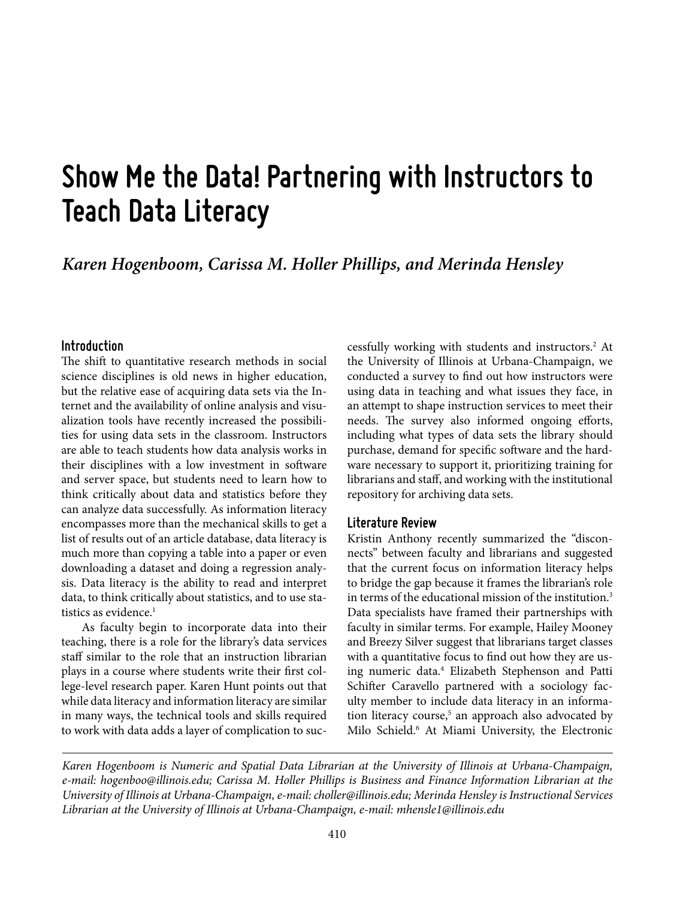# **Show Me the Data! Partnering with Instructors to Teach Data Literacy**

*Karen Hogenboom, Carissa M. Holler Phillips, and Merinda Hensley*

## **Introduction**

The shift to quantitative research methods in social science disciplines is old news in higher education, but the relative ease of acquiring data sets via the Internet and the availability of online analysis and visualization tools have recently increased the possibilities for using data sets in the classroom. Instructors are able to teach students how data analysis works in their disciplines with a low investment in software and server space, but students need to learn how to think critically about data and statistics before they can analyze data successfully. As information literacy encompasses more than the mechanical skills to get a list of results out of an article database, data literacy is much more than copying a table into a paper or even downloading a dataset and doing a regression analysis. Data literacy is the ability to read and interpret data, to think critically about statistics, and to use statistics as evidence.<sup>1</sup>

As faculty begin to incorporate data into their teaching, there is a role for the library's data services staff similar to the role that an instruction librarian plays in a course where students write their first college-level research paper. Karen Hunt points out that while data literacy and information literacy are similar in many ways, the technical tools and skills required to work with data adds a layer of complication to suc-

cessfully working with students and instructors.<sup>2</sup> At the University of Illinois at Urbana-Champaign, we conducted a survey to find out how instructors were using data in teaching and what issues they face, in an attempt to shape instruction services to meet their needs. The survey also informed ongoing efforts, including what types of data sets the library should purchase, demand for specific software and the hardware necessary to support it, prioritizing training for librarians and staff, and working with the institutional repository for archiving data sets.

#### **Literature Review**

Kristin Anthony recently summarized the "disconnects" between faculty and librarians and suggested that the current focus on information literacy helps to bridge the gap because it frames the librarian's role in terms of the educational mission of the institution.<sup>3</sup> Data specialists have framed their partnerships with faculty in similar terms. For example, Hailey Mooney and Breezy Silver suggest that librarians target classes with a quantitative focus to find out how they are using numeric data.<sup>4</sup> Elizabeth Stephenson and Patti Schifter Caravello partnered with a sociology faculty member to include data literacy in an information literacy course,<sup>5</sup> an approach also advocated by Milo Schield.6 At Miami University, the Electronic

*Karen Hogenboom is Numeric and Spatial Data Librarian at the University of Illinois at Urbana-Champaign, e-mail: hogenboo@illinois.edu; Carissa M. Holler Phillips is Business and Finance Information Librarian at the University of Illinois at Urbana-Champaign, e-mail: choller@illinois.edu; Merinda Hensley is Instructional Services Librarian at the University of Illinois at Urbana-Champaign, e-mail: mhensle1@illinois.edu*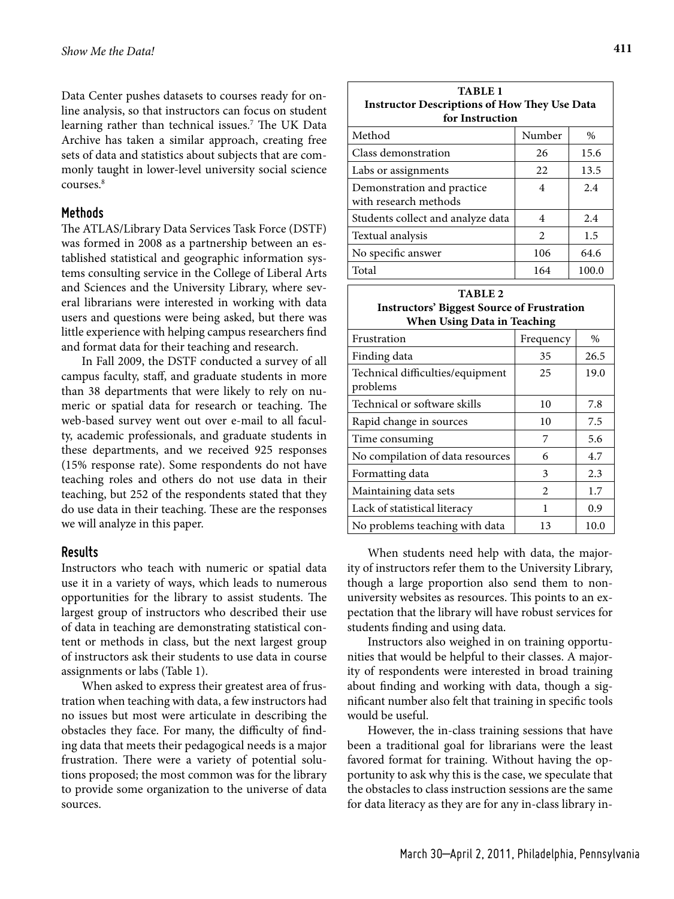Data Center pushes datasets to courses ready for online analysis, so that instructors can focus on student learning rather than technical issues.7 The UK Data Archive has taken a similar approach, creating free sets of data and statistics about subjects that are commonly taught in lower-level university social science courses.<sup>8</sup>

## **Methods**

The ATLAS/Library Data Services Task Force (DSTF) was formed in 2008 as a partnership between an established statistical and geographic information systems consulting service in the College of Liberal Arts and Sciences and the University Library, where several librarians were interested in working with data users and questions were being asked, but there was little experience with helping campus researchers find and format data for their teaching and research.

In Fall 2009, the DSTF conducted a survey of all campus faculty, staff, and graduate students in more than 38 departments that were likely to rely on numeric or spatial data for research or teaching. The web-based survey went out over e-mail to all faculty, academic professionals, and graduate students in these departments, and we received 925 responses (15% response rate). Some respondents do not have teaching roles and others do not use data in their teaching, but 252 of the respondents stated that they do use data in their teaching. These are the responses we will analyze in this paper.

# **Results**

Instructors who teach with numeric or spatial data use it in a variety of ways, which leads to numerous opportunities for the library to assist students. The largest group of instructors who described their use of data in teaching are demonstrating statistical content or methods in class, but the next largest group of instructors ask their students to use data in course assignments or labs (Table 1).

When asked to express their greatest area of frustration when teaching with data, a few instructors had no issues but most were articulate in describing the obstacles they face. For many, the difficulty of finding data that meets their pedagogical needs is a major frustration. There were a variety of potential solutions proposed; the most common was for the library to provide some organization to the universe of data sources.

| <b>TABLE 1</b><br><b>Instructor Descriptions of How They Use Data</b><br>for Instruction |                |       |  |
|------------------------------------------------------------------------------------------|----------------|-------|--|
| Method                                                                                   | Number         | $\%$  |  |
| Class demonstration                                                                      | 26             | 15.6  |  |
| Labs or assignments                                                                      | 22             | 13.5  |  |
| Demonstration and practice<br>with research methods                                      | 4              | 2.4   |  |
| Students collect and analyze data                                                        | 4              | 2.4   |  |
| Textual analysis                                                                         | $\mathfrak{D}$ | 1.5   |  |
| No specific answer                                                                       | 106            | 64.6  |  |
| Total                                                                                    | 164            | 100.0 |  |

| <b>TABLE 2</b>                                    |  |  |
|---------------------------------------------------|--|--|
| <b>Instructors' Biggest Source of Frustration</b> |  |  |
| When Using Data in Teaching                       |  |  |

| Frustration                                  | Frequency      | $\%$ |
|----------------------------------------------|----------------|------|
| Finding data                                 | 35             | 26.5 |
| Technical difficulties/equipment<br>problems | 25             | 19.0 |
| Technical or software skills                 | 10             | 7.8  |
| Rapid change in sources                      | 10             | 7.5  |
| Time consuming                               | 7              | 5.6  |
| No compilation of data resources             | 6              | 4.7  |
| Formatting data                              | 3              | 2.3  |
| Maintaining data sets                        | $\mathfrak{D}$ | 1.7  |
| Lack of statistical literacy                 | 1              | 0.9  |
| No problems teaching with data               | 13             | 10.0 |

When students need help with data, the majority of instructors refer them to the University Library, though a large proportion also send them to nonuniversity websites as resources. This points to an expectation that the library will have robust services for students finding and using data.

Instructors also weighed in on training opportunities that would be helpful to their classes. A majority of respondents were interested in broad training about finding and working with data, though a significant number also felt that training in specific tools would be useful.

However, the in-class training sessions that have been a traditional goal for librarians were the least favored format for training. Without having the opportunity to ask why this is the case, we speculate that the obstacles to class instruction sessions are the same for data literacy as they are for any in-class library in-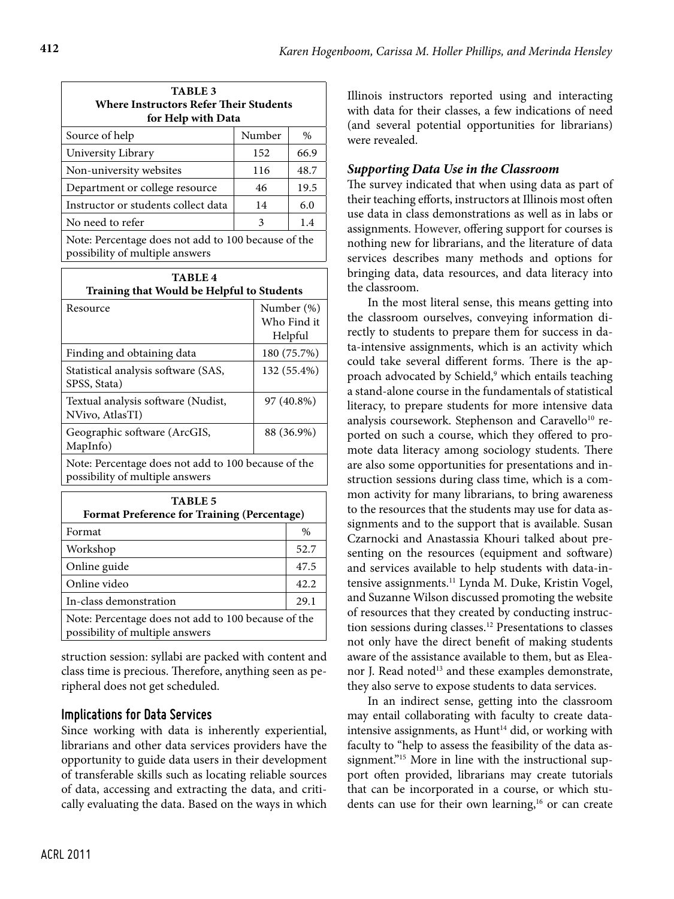| TABLE <sub>3</sub><br>Where Instructors Refer Their Students<br>for Help with Data     |        |      |  |
|----------------------------------------------------------------------------------------|--------|------|--|
| Source of help                                                                         | Number | $\%$ |  |
| University Library                                                                     | 152    | 66.9 |  |
| Non-university websites                                                                | 116    | 48.7 |  |
| Department or college resource                                                         | 46     | 19.5 |  |
| Instructor or students collect data                                                    | 14     | 6.0  |  |
| No need to refer                                                                       | 3      | 1.4  |  |
| Note: Percentage does not add to 100 because of the<br>possibility of multiple answers |        |      |  |

| TA BLE 4<br>Training that Would be Helpful to Students                                 |                                         |  |
|----------------------------------------------------------------------------------------|-----------------------------------------|--|
| Resource                                                                               | Number $(\%)$<br>Who Find it<br>Helpful |  |
| Finding and obtaining data                                                             | 180 (75.7%)                             |  |
| Statistical analysis software (SAS,<br>SPSS, Stata)                                    | 132 (55.4%)                             |  |
| Textual analysis software (Nudist,<br>NVivo, AtlasTI)                                  | 97 (40.8%)                              |  |
| Geographic software (ArcGIS,<br>MapInfo)                                               | 88 (36.9%)                              |  |
| Note: Percentage does not add to 100 because of the<br>possibility of multiple answers |                                         |  |

| TABLE 5<br><b>Format Preference for Training (Percentage)</b>                          |               |  |
|----------------------------------------------------------------------------------------|---------------|--|
| Format                                                                                 | $\frac{0}{0}$ |  |
| Workshop                                                                               | 52.7          |  |
| Online guide                                                                           | 47.5          |  |
| Online video                                                                           | 42.2          |  |
| In-class demonstration                                                                 | 29.1          |  |
| Note: Percentage does not add to 100 because of the<br>possibility of multiple answers |               |  |

struction session: syllabi are packed with content and class time is precious. Therefore, anything seen as peripheral does not get scheduled.

# **Implications for Data Services**

Since working with data is inherently experiential, librarians and other data services providers have the opportunity to guide data users in their development of transferable skills such as locating reliable sources of data, accessing and extracting the data, and critically evaluating the data. Based on the ways in which

Illinois instructors reported using and interacting with data for their classes, a few indications of need (and several potential opportunities for librarians) were revealed.

# *Supporting Data Use in the Classroom*

The survey indicated that when using data as part of their teaching efforts, instructors at Illinois most often use data in class demonstrations as well as in labs or assignments. However, offering support for courses is nothing new for librarians, and the literature of data services describes many methods and options for bringing data, data resources, and data literacy into the classroom.

In the most literal sense, this means getting into the classroom ourselves, conveying information directly to students to prepare them for success in data-intensive assignments, which is an activity which could take several different forms. There is the approach advocated by Schield,<sup>9</sup> which entails teaching a stand-alone course in the fundamentals of statistical literacy, to prepare students for more intensive data analysis coursework. Stephenson and Caravello<sup>10</sup> reported on such a course, which they offered to promote data literacy among sociology students. There are also some opportunities for presentations and instruction sessions during class time, which is a common activity for many librarians, to bring awareness to the resources that the students may use for data assignments and to the support that is available. Susan Czarnocki and Anastassia Khouri talked about presenting on the resources (equipment and software) and services available to help students with data-intensive assignments.11 Lynda M. Duke, Kristin Vogel, and Suzanne Wilson discussed promoting the website of resources that they created by conducting instruction sessions during classes.12 Presentations to classes not only have the direct benefit of making students aware of the assistance available to them, but as Eleanor J. Read noted<sup>13</sup> and these examples demonstrate, they also serve to expose students to data services.

In an indirect sense, getting into the classroom may entail collaborating with faculty to create dataintensive assignments, as Hunt<sup>14</sup> did, or working with faculty to "help to assess the feasibility of the data assignment."<sup>15</sup> More in line with the instructional support often provided, librarians may create tutorials that can be incorporated in a course, or which students can use for their own learning,<sup>16</sup> or can create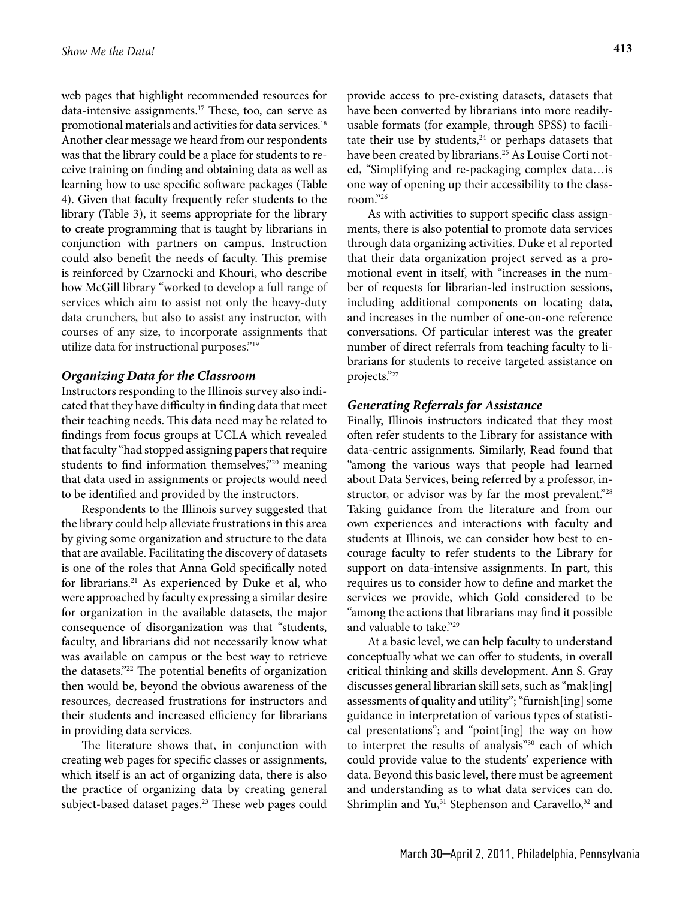web pages that highlight recommended resources for data-intensive assignments.17 These, too, can serve as promotional materials and activities for data services.<sup>18</sup> Another clear message we heard from our respondents was that the library could be a place for students to receive training on finding and obtaining data as well as learning how to use specific software packages (Table 4). Given that faculty frequently refer students to the library (Table 3), it seems appropriate for the library to create programming that is taught by librarians in conjunction with partners on campus. Instruction could also benefit the needs of faculty. This premise is reinforced by Czarnocki and Khouri, who describe how McGill library "worked to develop a full range of services which aim to assist not only the heavy-duty data crunchers, but also to assist any instructor, with courses of any size, to incorporate assignments that utilize data for instructional purposes."19

## *Organizing Data for the Classroom*

Instructors responding to the Illinois survey also indicated that they have difficulty in finding data that meet their teaching needs. This data need may be related to findings from focus groups at UCLA which revealed that faculty "had stopped assigning papers that require students to find information themselves,"20 meaning that data used in assignments or projects would need to be identified and provided by the instructors.

Respondents to the Illinois survey suggested that the library could help alleviate frustrations in this area by giving some organization and structure to the data that are available. Facilitating the discovery of datasets is one of the roles that Anna Gold specifically noted for librarians.21 As experienced by Duke et al, who were approached by faculty expressing a similar desire for organization in the available datasets, the major consequence of disorganization was that "students, faculty, and librarians did not necessarily know what was available on campus or the best way to retrieve the datasets."22 The potential benefits of organization then would be, beyond the obvious awareness of the resources, decreased frustrations for instructors and their students and increased efficiency for librarians in providing data services.

The literature shows that, in conjunction with creating web pages for specific classes or assignments, which itself is an act of organizing data, there is also the practice of organizing data by creating general subject-based dataset pages.<sup>23</sup> These web pages could

provide access to pre-existing datasets, datasets that have been converted by librarians into more readilyusable formats (for example, through SPSS) to facilitate their use by students, $24$  or perhaps datasets that have been created by librarians.<sup>25</sup> As Louise Corti noted, "Simplifying and re-packaging complex data…is one way of opening up their accessibility to the classroom."26

As with activities to support specific class assignments, there is also potential to promote data services through data organizing activities. Duke et al reported that their data organization project served as a promotional event in itself, with "increases in the number of requests for librarian-led instruction sessions, including additional components on locating data, and increases in the number of one-on-one reference conversations. Of particular interest was the greater number of direct referrals from teaching faculty to librarians for students to receive targeted assistance on projects."27

#### *Generating Referrals for Assistance*

Finally, Illinois instructors indicated that they most often refer students to the Library for assistance with data-centric assignments. Similarly, Read found that "among the various ways that people had learned about Data Services, being referred by a professor, instructor, or advisor was by far the most prevalent."<sup>28</sup> Taking guidance from the literature and from our own experiences and interactions with faculty and students at Illinois, we can consider how best to encourage faculty to refer students to the Library for support on data-intensive assignments. In part, this requires us to consider how to define and market the services we provide, which Gold considered to be "among the actions that librarians may find it possible and valuable to take."29

At a basic level, we can help faculty to understand conceptually what we can offer to students, in overall critical thinking and skills development. Ann S. Gray discusses general librarian skill sets, such as "mak[ing] assessments of quality and utility"; "furnish[ing] some guidance in interpretation of various types of statistical presentations"; and "point[ing] the way on how to interpret the results of analysis"30 each of which could provide value to the students' experience with data. Beyond this basic level, there must be agreement and understanding as to what data services can do. Shrimplin and Yu,<sup>31</sup> Stephenson and Caravello,<sup>32</sup> and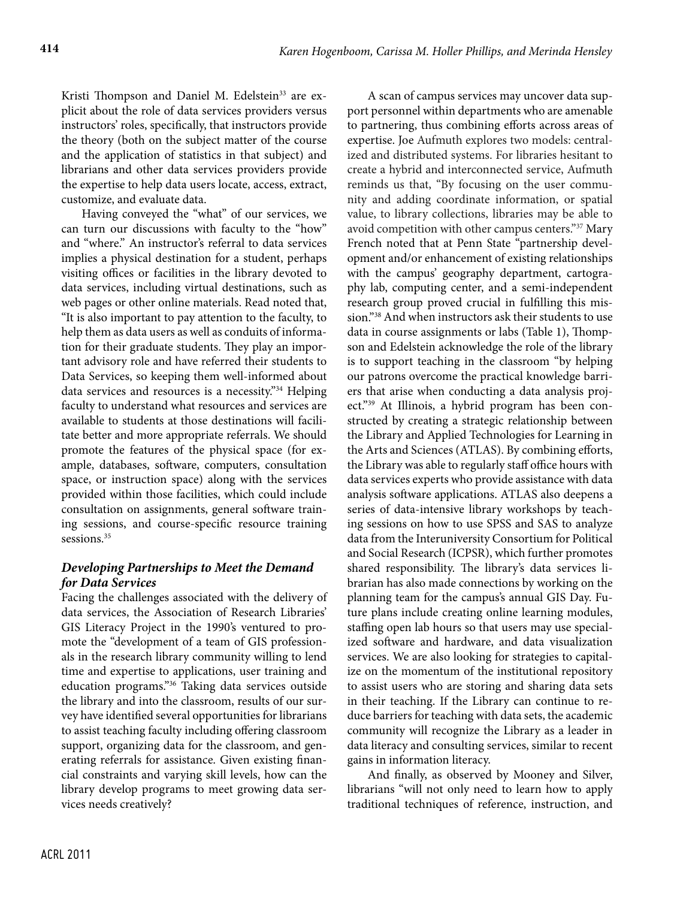Kristi Thompson and Daniel M. Edelstein<sup>33</sup> are explicit about the role of data services providers versus instructors' roles, specifically, that instructors provide the theory (both on the subject matter of the course and the application of statistics in that subject) and librarians and other data services providers provide the expertise to help data users locate, access, extract, customize, and evaluate data.

Having conveyed the "what" of our services, we can turn our discussions with faculty to the "how" and "where." An instructor's referral to data services implies a physical destination for a student, perhaps visiting offices or facilities in the library devoted to data services, including virtual destinations, such as web pages or other online materials. Read noted that, "It is also important to pay attention to the faculty, to help them as data users as well as conduits of information for their graduate students. They play an important advisory role and have referred their students to Data Services, so keeping them well-informed about data services and resources is a necessity."34 Helping faculty to understand what resources and services are available to students at those destinations will facilitate better and more appropriate referrals. We should promote the features of the physical space (for example, databases, software, computers, consultation space, or instruction space) along with the services provided within those facilities, which could include consultation on assignments, general software training sessions, and course-specific resource training sessions.<sup>35</sup>

# *Developing Partnerships to Meet the Demand for Data Services*

Facing the challenges associated with the delivery of data services, the Association of Research Libraries' GIS Literacy Project in the 1990's ventured to promote the "development of a team of GIS professionals in the research library community willing to lend time and expertise to applications, user training and education programs."36 Taking data services outside the library and into the classroom, results of our survey have identified several opportunities for librarians to assist teaching faculty including offering classroom support, organizing data for the classroom, and generating referrals for assistance. Given existing financial constraints and varying skill levels, how can the library develop programs to meet growing data services needs creatively?

A scan of campus services may uncover data support personnel within departments who are amenable to partnering, thus combining efforts across areas of expertise. Joe Aufmuth explores two models: centralized and distributed systems. For libraries hesitant to create a hybrid and interconnected service, Aufmuth reminds us that, "By focusing on the user community and adding coordinate information, or spatial value, to library collections, libraries may be able to avoid competition with other campus centers."37 Mary French noted that at Penn State "partnership development and/or enhancement of existing relationships with the campus' geography department, cartography lab, computing center, and a semi-independent research group proved crucial in fulfilling this mission."38 And when instructors ask their students to use data in course assignments or labs (Table 1), Thompson and Edelstein acknowledge the role of the library is to support teaching in the classroom "by helping our patrons overcome the practical knowledge barriers that arise when conducting a data analysis project."39 At Illinois, a hybrid program has been constructed by creating a strategic relationship between the Library and Applied Technologies for Learning in the Arts and Sciences (ATLAS). By combining efforts, the Library was able to regularly staff office hours with data services experts who provide assistance with data analysis software applications. ATLAS also deepens a series of data-intensive library workshops by teaching sessions on how to use SPSS and SAS to analyze data from the Interuniversity Consortium for Political and Social Research (ICPSR), which further promotes shared responsibility. The library's data services librarian has also made connections by working on the planning team for the campus's annual GIS Day. Future plans include creating online learning modules, staffing open lab hours so that users may use specialized software and hardware, and data visualization services. We are also looking for strategies to capitalize on the momentum of the institutional repository to assist users who are storing and sharing data sets in their teaching. If the Library can continue to reduce barriers for teaching with data sets, the academic community will recognize the Library as a leader in data literacy and consulting services, similar to recent gains in information literacy.

And finally, as observed by Mooney and Silver, librarians "will not only need to learn how to apply traditional techniques of reference, instruction, and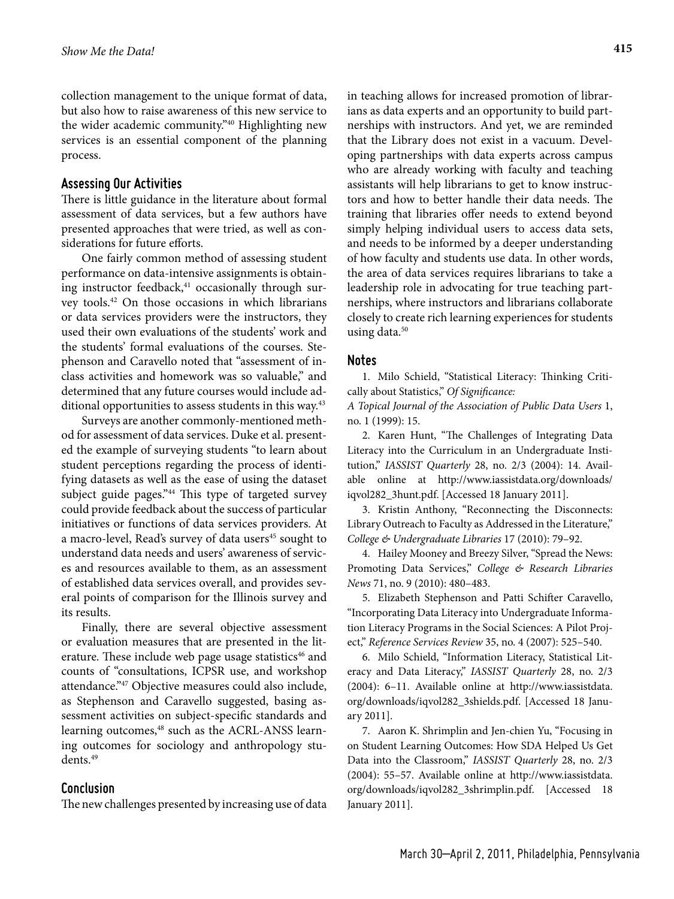collection management to the unique format of data, but also how to raise awareness of this new service to the wider academic community."40 Highlighting new services is an essential component of the planning process.

#### **Assessing Our Activities**

There is little guidance in the literature about formal assessment of data services, but a few authors have presented approaches that were tried, as well as considerations for future efforts.

One fairly common method of assessing student performance on data-intensive assignments is obtaining instructor feedback, $41$  occasionally through survey tools.42 On those occasions in which librarians or data services providers were the instructors, they used their own evaluations of the students' work and the students' formal evaluations of the courses. Stephenson and Caravello noted that "assessment of inclass activities and homework was so valuable," and determined that any future courses would include additional opportunities to assess students in this way.<sup>43</sup>

Surveys are another commonly-mentioned method for assessment of data services. Duke et al. presented the example of surveying students "to learn about student perceptions regarding the process of identifying datasets as well as the ease of using the dataset subject guide pages."44 This type of targeted survey could provide feedback about the success of particular initiatives or functions of data services providers. At a macro-level, Read's survey of data users<sup>45</sup> sought to understand data needs and users' awareness of services and resources available to them, as an assessment of established data services overall, and provides several points of comparison for the Illinois survey and its results.

Finally, there are several objective assessment or evaluation measures that are presented in the literature. These include web page usage statistics<sup>46</sup> and counts of "consultations, ICPSR use, and workshop attendance."47 Objective measures could also include, as Stephenson and Caravello suggested, basing assessment activities on subject-specific standards and learning outcomes,<sup>48</sup> such as the ACRL-ANSS learning outcomes for sociology and anthropology students<sup>49</sup>

## **Conclusion**

The new challenges presented by increasing use of data

in teaching allows for increased promotion of librarians as data experts and an opportunity to build partnerships with instructors. And yet, we are reminded that the Library does not exist in a vacuum. Developing partnerships with data experts across campus who are already working with faculty and teaching assistants will help librarians to get to know instructors and how to better handle their data needs. The training that libraries offer needs to extend beyond simply helping individual users to access data sets, and needs to be informed by a deeper understanding of how faculty and students use data. In other words, the area of data services requires librarians to take a leadership role in advocating for true teaching partnerships, where instructors and librarians collaborate closely to create rich learning experiences for students using data.<sup>50</sup>

#### **Notes**

1. Milo Schield, "Statistical Literacy: Thinking Critically about Statistics," *Of Significance:*

*A Topical Journal of the Association of Public Data Users* 1, no. 1 (1999): 15.

2. Karen Hunt, "The Challenges of Integrating Data Literacy into the Curriculum in an Undergraduate Institution," *IASSIST Quarterly* 28, no. 2/3 (2004): 14. Available online at http://www.iassistdata.org/downloads/ iqvol282\_3hunt.pdf. [Accessed 18 January 2011].

3. Kristin Anthony, "Reconnecting the Disconnects: Library Outreach to Faculty as Addressed in the Literature," *College & Undergraduate Libraries* 17 (2010): 79–92.

4. Hailey Mooney and Breezy Silver, "Spread the News: Promoting Data Services," *College & Research Libraries News* 71, no. 9 (2010): 480–483.

5. Elizabeth Stephenson and Patti Schifter Caravello, "Incorporating Data Literacy into Undergraduate Information Literacy Programs in the Social Sciences: A Pilot Project," *Reference Services Review* 35, no. 4 (2007): 525–540.

6. Milo Schield, "Information Literacy, Statistical Literacy and Data Literacy," *IASSIST Quarterly* 28, no. 2/3 (2004): 6–11. Available online at http://www.iassistdata. org/downloads/iqvol282\_3shields.pdf. [Accessed 18 January 2011].

7. Aaron K. Shrimplin and Jen-chien Yu, "Focusing in on Student Learning Outcomes: How SDA Helped Us Get Data into the Classroom," *IASSIST Quarterly* 28, no. 2/3 (2004): 55–57. Available online at http://www.iassistdata. org/downloads/iqvol282\_3shrimplin.pdf. [Accessed 18 January 2011].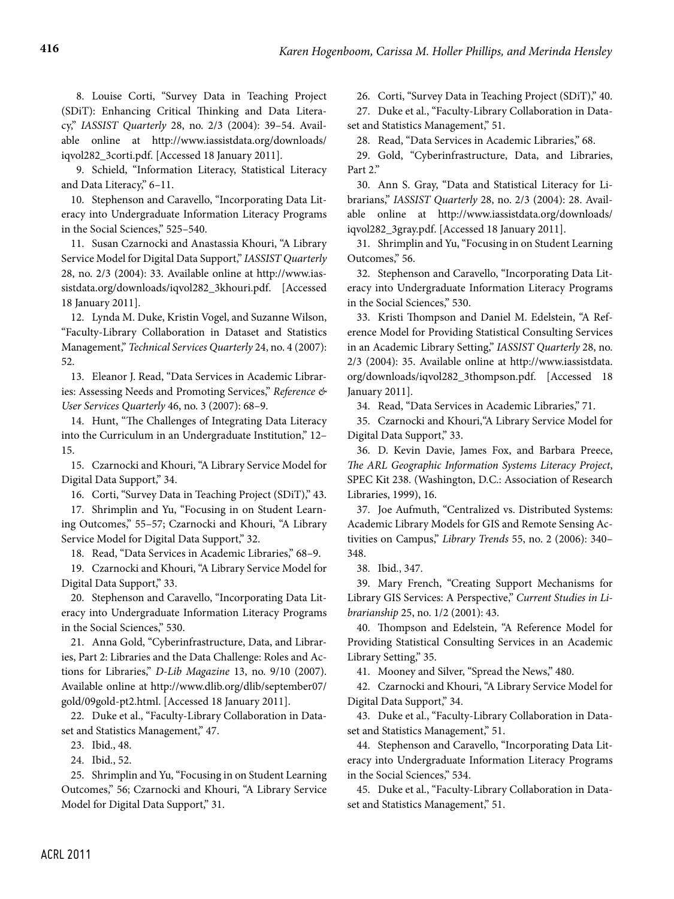8. Louise Corti, "Survey Data in Teaching Project (SDiT): Enhancing Critical Thinking and Data Literacy," *IASSIST Quarterly* 28, no. 2/3 (2004): 39–54. Available online at http://www.iassistdata.org/downloads/ iqvol282\_3corti.pdf. [Accessed 18 January 2011].

9. Schield, "Information Literacy, Statistical Literacy and Data Literacy," 6–11.

10. Stephenson and Caravello, "Incorporating Data Literacy into Undergraduate Information Literacy Programs in the Social Sciences," 525–540.

11. Susan Czarnocki and Anastassia Khouri, "A Library Service Model for Digital Data Support," *IASSIST Quarterly* 28, no. 2/3 (2004): 33. Available online at http://www.iassistdata.org/downloads/iqvol282\_3khouri.pdf. [Accessed 18 January 2011].

12. Lynda M. Duke, Kristin Vogel, and Suzanne Wilson, "Faculty-Library Collaboration in Dataset and Statistics Management," *Technical Services Quarterly* 24, no. 4 (2007): 52.

13. Eleanor J. Read, "Data Services in Academic Libraries: Assessing Needs and Promoting Services," *Reference & User Services Quarterly* 46, no. 3 (2007): 68–9.

14. Hunt, "The Challenges of Integrating Data Literacy into the Curriculum in an Undergraduate Institution," 12– 15.

15. Czarnocki and Khouri, "A Library Service Model for Digital Data Support," 34.

16. Corti, "Survey Data in Teaching Project (SDiT)," 43.

17. Shrimplin and Yu, "Focusing in on Student Learning Outcomes," 55–57; Czarnocki and Khouri, "A Library Service Model for Digital Data Support," 32.

18. Read, "Data Services in Academic Libraries," 68–9.

19. Czarnocki and Khouri, "A Library Service Model for Digital Data Support," 33.

20. Stephenson and Caravello, "Incorporating Data Literacy into Undergraduate Information Literacy Programs in the Social Sciences," 530.

21. Anna Gold, "Cyberinfrastructure, Data, and Libraries, Part 2: Libraries and the Data Challenge: Roles and Actions for Libraries," *D-Lib Magazine* 13, no. 9/10 (2007). Available online at http://www.dlib.org/dlib/september07/ gold/09gold-pt2.html. [Accessed 18 January 2011].

22. Duke et al., "Faculty-Library Collaboration in Dataset and Statistics Management," 47.

23. Ibid., 48.

24. Ibid., 52.

25. Shrimplin and Yu, "Focusing in on Student Learning Outcomes," 56; Czarnocki and Khouri, "A Library Service Model for Digital Data Support," 31.

26. Corti, "Survey Data in Teaching Project (SDiT)," 40.

27. Duke et al., "Faculty-Library Collaboration in Dataset and Statistics Management," 51.

28. Read, "Data Services in Academic Libraries," 68.

29. Gold, "Cyberinfrastructure, Data, and Libraries, Part 2."

30. Ann S. Gray, "Data and Statistical Literacy for Librarians," *IASSIST Quarterly* 28, no. 2/3 (2004): 28. Available online at http://www.iassistdata.org/downloads/ iqvol282\_3gray.pdf. [Accessed 18 January 2011].

31. Shrimplin and Yu, "Focusing in on Student Learning Outcomes," 56.

32. Stephenson and Caravello, "Incorporating Data Literacy into Undergraduate Information Literacy Programs in the Social Sciences," 530.

33. Kristi Thompson and Daniel M. Edelstein, "A Reference Model for Providing Statistical Consulting Services in an Academic Library Setting," *IASSIST Quarterly* 28, no. 2/3 (2004): 35. Available online at http://www.iassistdata. org/downloads/iqvol282\_3thompson.pdf. [Accessed 18 January 2011].

34. Read, "Data Services in Academic Libraries," 71.

35. Czarnocki and Khouri,"A Library Service Model for Digital Data Support," 33.

36. D. Kevin Davie, James Fox, and Barbara Preece, *The ARL Geographic Information Systems Literacy Project*, SPEC Kit 238. (Washington, D.C.: Association of Research Libraries, 1999), 16.

37. Joe Aufmuth, "Centralized vs. Distributed Systems: Academic Library Models for GIS and Remote Sensing Activities on Campus," *Library Trends* 55, no. 2 (2006): 340– 348.

38. Ibid., 347.

39. Mary French, "Creating Support Mechanisms for Library GIS Services: A Perspective," *Current Studies in Librarianship* 25, no. 1/2 (2001): 43.

40. Thompson and Edelstein, "A Reference Model for Providing Statistical Consulting Services in an Academic Library Setting," 35.

41. Mooney and Silver, "Spread the News," 480.

42. Czarnocki and Khouri, "A Library Service Model for Digital Data Support," 34.

43. Duke et al., "Faculty-Library Collaboration in Dataset and Statistics Management," 51.

44. Stephenson and Caravello, "Incorporating Data Literacy into Undergraduate Information Literacy Programs in the Social Sciences," 534.

45. Duke et al., "Faculty-Library Collaboration in Dataset and Statistics Management," 51.